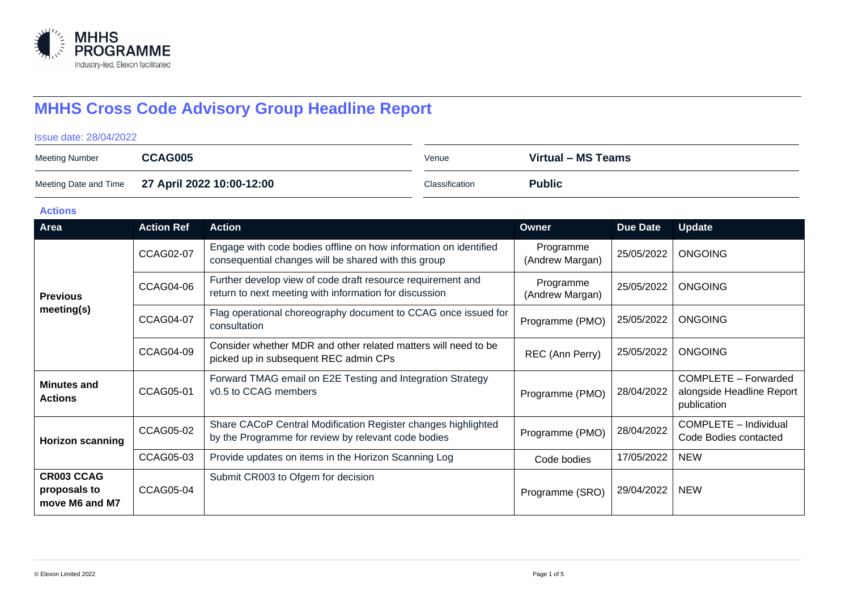

# **MHHS Cross Code Advisory Group Headline Report**

#### Issue date: 28/04/2022

| <b>Meeting Number</b> | CCAG005                                         | Venue          | Virtual – MS Teams |
|-----------------------|-------------------------------------------------|----------------|--------------------|
|                       | Meeting Date and Time 27 April 2022 10:00-12:00 | Classification | <b>Public</b>      |

### **Actions**

| Area                                                | <b>Action Ref</b> | <b>Action</b>                                                                                                            | Owner                        | Due Date   | <b>Update</b>                                                    |
|-----------------------------------------------------|-------------------|--------------------------------------------------------------------------------------------------------------------------|------------------------------|------------|------------------------------------------------------------------|
| <b>Previous</b><br>meeting(s)                       | CCAG02-07         | Engage with code bodies offline on how information on identified<br>consequential changes will be shared with this group | Programme<br>(Andrew Margan) | 25/05/2022 | <b>ONGOING</b>                                                   |
|                                                     | <b>CCAG04-06</b>  | Further develop view of code draft resource requirement and<br>return to next meeting with information for discussion    | Programme<br>(Andrew Margan) | 25/05/2022 | <b>ONGOING</b>                                                   |
|                                                     | <b>CCAG04-07</b>  | Flag operational choreography document to CCAG once issued for<br>consultation                                           | Programme (PMO)              | 25/05/2022 | <b>ONGOING</b>                                                   |
|                                                     | <b>CCAG04-09</b>  | Consider whether MDR and other related matters will need to be<br>picked up in subsequent REC admin CPs                  | REC (Ann Perry)              | 25/05/2022 | <b>ONGOING</b>                                                   |
| <b>Minutes and</b><br><b>Actions</b>                | <b>CCAG05-01</b>  | Forward TMAG email on E2E Testing and Integration Strategy<br>v0.5 to CCAG members                                       | Programme (PMO)              | 28/04/2022 | COMPLETE - Forwarded<br>alongside Headline Report<br>publication |
| <b>Horizon scanning</b>                             | CCAG05-02         | Share CACoP Central Modification Register changes highlighted<br>by the Programme for review by relevant code bodies     | Programme (PMO)              | 28/04/2022 | COMPLETE - Individual<br>Code Bodies contacted                   |
|                                                     | CCAG05-03         | Provide updates on items in the Horizon Scanning Log                                                                     | Code bodies                  | 17/05/2022 | <b>NEW</b>                                                       |
| <b>CR003 CCAG</b><br>proposals to<br>move M6 and M7 | CCAG05-04         | Submit CR003 to Ofgem for decision                                                                                       | Programme (SRO)              | 29/04/2022 | <b>NEW</b>                                                       |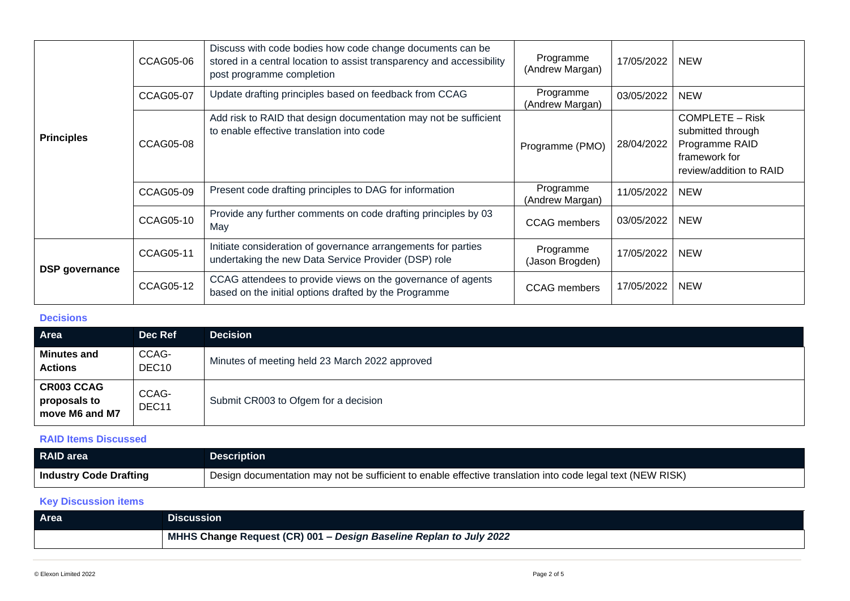| <b>Principles</b>     | CCAG05-06        | Discuss with code bodies how code change documents can be<br>stored in a central location to assist transparency and accessibility<br>post programme completion | Programme<br>(Andrew Margan) | 17/05/2022 | <b>NEW</b>                                                                                                |
|-----------------------|------------------|-----------------------------------------------------------------------------------------------------------------------------------------------------------------|------------------------------|------------|-----------------------------------------------------------------------------------------------------------|
|                       | <b>CCAG05-07</b> | Update drafting principles based on feedback from CCAG                                                                                                          | Programme<br>(Andrew Margan) | 03/05/2022 | <b>NEW</b>                                                                                                |
|                       | <b>CCAG05-08</b> | Add risk to RAID that design documentation may not be sufficient<br>to enable effective translation into code                                                   | Programme (PMO)              | 28/04/2022 | <b>COMPLETE – Risk</b><br>submitted through<br>Programme RAID<br>framework for<br>review/addition to RAID |
|                       | CCAG05-09        | Present code drafting principles to DAG for information                                                                                                         | Programme<br>(Andrew Margan) | 11/05/2022 | <b>NEW</b>                                                                                                |
|                       | <b>CCAG05-10</b> | Provide any further comments on code drafting principles by 03<br>May                                                                                           | <b>CCAG</b> members          | 03/05/2022 | <b>NEW</b>                                                                                                |
| <b>DSP</b> governance | <b>CCAG05-11</b> | Initiate consideration of governance arrangements for parties<br>undertaking the new Data Service Provider (DSP) role                                           | Programme<br>(Jason Brogden) | 17/05/2022 | <b>NEW</b>                                                                                                |
|                       | <b>CCAG05-12</b> | CCAG attendees to provide views on the governance of agents<br>based on the initial options drafted by the Programme                                            | <b>CCAG</b> members          | 17/05/2022 | <b>NEW</b>                                                                                                |

## **Decisions**

| Area                                                | Dec Ref                    | <b>Decision</b>                                |
|-----------------------------------------------------|----------------------------|------------------------------------------------|
| <b>Minutes and</b><br><b>Actions</b>                | CCAG-<br>DEC <sub>10</sub> | Minutes of meeting held 23 March 2022 approved |
| <b>CR003 CCAG</b><br>proposals to<br>move M6 and M7 | CCAG-<br>DEC11             | Submit CR003 to Ofgem for a decision           |

## **RAID Items Discussed**

| <b>RAID</b> area              | <b>Description</b>                                                                                         |
|-------------------------------|------------------------------------------------------------------------------------------------------------|
| <b>Industry Code Drafting</b> | Design documentation may not be sufficient to enable effective translation into code legal text (NEW RISK) |

# **Key Discussion items**

| Area | <b>Discussion</b>                                                  |
|------|--------------------------------------------------------------------|
|      | MHHS Change Request (CR) 001 - Design Baseline Replan to July 2022 |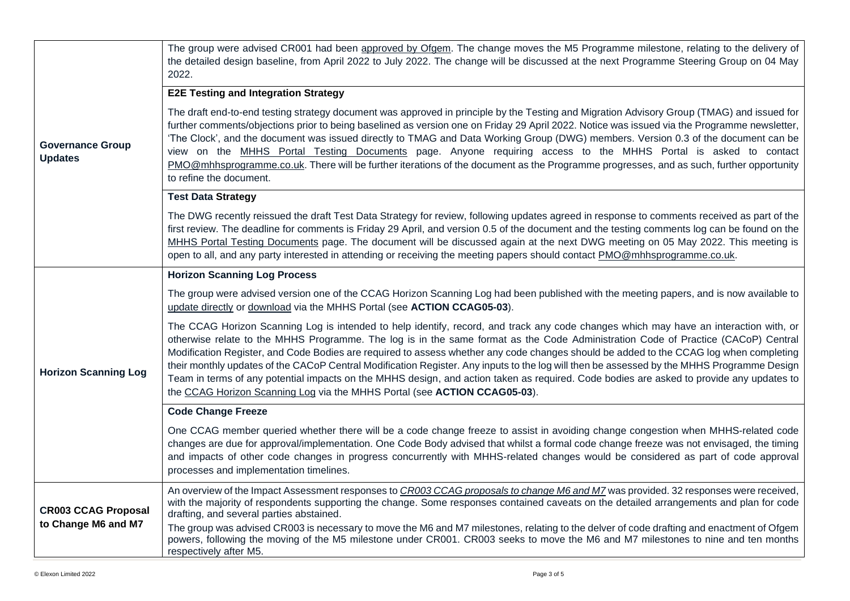| <b>Governance Group</b><br><b>Updates</b>         | The group were advised CR001 had been approved by Ofgem. The change moves the M5 Programme milestone, relating to the delivery of<br>the detailed design baseline, from April 2022 to July 2022. The change will be discussed at the next Programme Steering Group on 04 May<br>2022.                                                                                                                                                                                                                                                                                                                                                                                                                                                                                                       |
|---------------------------------------------------|---------------------------------------------------------------------------------------------------------------------------------------------------------------------------------------------------------------------------------------------------------------------------------------------------------------------------------------------------------------------------------------------------------------------------------------------------------------------------------------------------------------------------------------------------------------------------------------------------------------------------------------------------------------------------------------------------------------------------------------------------------------------------------------------|
|                                                   | <b>E2E Testing and Integration Strategy</b>                                                                                                                                                                                                                                                                                                                                                                                                                                                                                                                                                                                                                                                                                                                                                 |
|                                                   | The draft end-to-end testing strategy document was approved in principle by the Testing and Migration Advisory Group (TMAG) and issued for<br>further comments/objections prior to being baselined as version one on Friday 29 April 2022. Notice was issued via the Programme newsletter,<br>'The Clock', and the document was issued directly to TMAG and Data Working Group (DWG) members. Version 0.3 of the document can be<br>view on the MHHS Portal Testing Documents page. Anyone requiring access to the MHHS Portal is asked to contact<br>PMO@mhhsprogramme.co.uk. There will be further iterations of the document as the Programme progresses, and as such, further opportunity<br>to refine the document.                                                                    |
|                                                   | <b>Test Data Strategy</b>                                                                                                                                                                                                                                                                                                                                                                                                                                                                                                                                                                                                                                                                                                                                                                   |
|                                                   | The DWG recently reissued the draft Test Data Strategy for review, following updates agreed in response to comments received as part of the<br>first review. The deadline for comments is Friday 29 April, and version 0.5 of the document and the testing comments log can be found on the<br>MHHS Portal Testing Documents page. The document will be discussed again at the next DWG meeting on 05 May 2022. This meeting is<br>open to all, and any party interested in attending or receiving the meeting papers should contact PMO@mhhsprogramme.co.uk.                                                                                                                                                                                                                               |
|                                                   | <b>Horizon Scanning Log Process</b>                                                                                                                                                                                                                                                                                                                                                                                                                                                                                                                                                                                                                                                                                                                                                         |
| <b>Horizon Scanning Log</b>                       | The group were advised version one of the CCAG Horizon Scanning Log had been published with the meeting papers, and is now available to<br>update directly or download via the MHHS Portal (see ACTION CCAG05-03).                                                                                                                                                                                                                                                                                                                                                                                                                                                                                                                                                                          |
|                                                   | The CCAG Horizon Scanning Log is intended to help identify, record, and track any code changes which may have an interaction with, or<br>otherwise relate to the MHHS Programme. The log is in the same format as the Code Administration Code of Practice (CACoP) Central<br>Modification Register, and Code Bodies are required to assess whether any code changes should be added to the CCAG log when completing<br>their monthly updates of the CACoP Central Modification Register. Any inputs to the log will then be assessed by the MHHS Programme Design<br>Team in terms of any potential impacts on the MHHS design, and action taken as required. Code bodies are asked to provide any updates to<br>the CCAG Horizon Scanning Log via the MHHS Portal (see ACTION CCAG05-03). |
|                                                   | <b>Code Change Freeze</b>                                                                                                                                                                                                                                                                                                                                                                                                                                                                                                                                                                                                                                                                                                                                                                   |
|                                                   | One CCAG member queried whether there will be a code change freeze to assist in avoiding change congestion when MHHS-related code<br>changes are due for approval/implementation. One Code Body advised that whilst a formal code change freeze was not envisaged, the timing<br>and impacts of other code changes in progress concurrently with MHHS-related changes would be considered as part of code approval<br>processes and implementation timelines.                                                                                                                                                                                                                                                                                                                               |
| <b>CR003 CCAG Proposal</b><br>to Change M6 and M7 | An overview of the Impact Assessment responses to CR003 CCAG proposals to change M6 and M7 was provided. 32 responses were received,<br>with the majority of respondents supporting the change. Some responses contained caveats on the detailed arrangements and plan for code<br>drafting, and several parties abstained.                                                                                                                                                                                                                                                                                                                                                                                                                                                                 |
|                                                   | The group was advised CR003 is necessary to move the M6 and M7 milestones, relating to the delver of code drafting and enactment of Ofgem<br>powers, following the moving of the M5 milestone under CR001. CR003 seeks to move the M6 and M7 milestones to nine and ten months<br>respectively after M5.                                                                                                                                                                                                                                                                                                                                                                                                                                                                                    |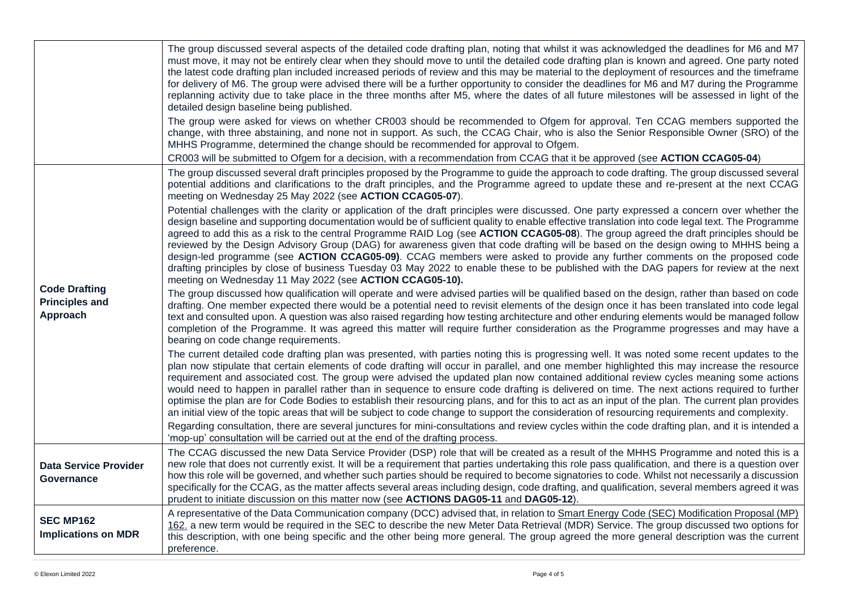|                                                           | The group discussed several aspects of the detailed code drafting plan, noting that whilst it was acknowledged the deadlines for M6 and M7<br>must move, it may not be entirely clear when they should move to until the detailed code drafting plan is known and agreed. One party noted<br>the latest code drafting plan included increased periods of review and this may be material to the deployment of resources and the timeframe<br>for delivery of M6. The group were advised there will be a further opportunity to consider the deadlines for M6 and M7 during the Programme<br>replanning activity due to take place in the three months after M5, where the dates of all future milestones will be assessed in light of the<br>detailed design baseline being published.                                                                                                                               |
|-----------------------------------------------------------|----------------------------------------------------------------------------------------------------------------------------------------------------------------------------------------------------------------------------------------------------------------------------------------------------------------------------------------------------------------------------------------------------------------------------------------------------------------------------------------------------------------------------------------------------------------------------------------------------------------------------------------------------------------------------------------------------------------------------------------------------------------------------------------------------------------------------------------------------------------------------------------------------------------------|
|                                                           | The group were asked for views on whether CR003 should be recommended to Ofgem for approval. Ten CCAG members supported the<br>change, with three abstaining, and none not in support. As such, the CCAG Chair, who is also the Senior Responsible Owner (SRO) of the<br>MHHS Programme, determined the change should be recommended for approval to Ofgem.                                                                                                                                                                                                                                                                                                                                                                                                                                                                                                                                                          |
|                                                           | CR003 will be submitted to Ofgem for a decision, with a recommendation from CCAG that it be approved (see ACTION CCAG05-04)                                                                                                                                                                                                                                                                                                                                                                                                                                                                                                                                                                                                                                                                                                                                                                                          |
| <b>Code Drafting</b><br><b>Principles and</b><br>Approach | The group discussed several draft principles proposed by the Programme to guide the approach to code drafting. The group discussed several<br>potential additions and clarifications to the draft principles, and the Programme agreed to update these and re-present at the next CCAG<br>meeting on Wednesday 25 May 2022 (see ACTION CCAG05-07).                                                                                                                                                                                                                                                                                                                                                                                                                                                                                                                                                                   |
|                                                           | Potential challenges with the clarity or application of the draft principles were discussed. One party expressed a concern over whether the<br>design baseline and supporting documentation would be of sufficient quality to enable effective translation into code legal text. The Programme<br>agreed to add this as a risk to the central Programme RAID Log (see ACTION CCAG05-08). The group agreed the draft principles should be<br>reviewed by the Design Advisory Group (DAG) for awareness given that code drafting will be based on the design owing to MHHS being a<br>design-led programme (see ACTION CCAG05-09). CCAG members were asked to provide any further comments on the proposed code<br>drafting principles by close of business Tuesday 03 May 2022 to enable these to be published with the DAG papers for review at the next<br>meeting on Wednesday 11 May 2022 (see ACTION CCAG05-10). |
|                                                           | The group discussed how qualification will operate and were advised parties will be qualified based on the design, rather than based on code<br>drafting. One member expected there would be a potential need to revisit elements of the design once it has been translated into code legal<br>text and consulted upon. A question was also raised regarding how testing architecture and other enduring elements would be managed follow<br>completion of the Programme. It was agreed this matter will require further consideration as the Programme progresses and may have a<br>bearing on code change requirements.                                                                                                                                                                                                                                                                                            |
|                                                           | The current detailed code drafting plan was presented, with parties noting this is progressing well. It was noted some recent updates to the<br>plan now stipulate that certain elements of code drafting will occur in parallel, and one member highlighted this may increase the resource<br>requirement and associated cost. The group were advised the updated plan now contained additional review cycles meaning some actions<br>would need to happen in parallel rather than in sequence to ensure code drafting is delivered on time. The next actions required to further<br>optimise the plan are for Code Bodies to establish their resourcing plans, and for this to act as an input of the plan. The current plan provides<br>an initial view of the topic areas that will be subject to code change to support the consideration of resourcing requirements and complexity.                            |
|                                                           | Regarding consultation, there are several junctures for mini-consultations and review cycles within the code drafting plan, and it is intended a<br>'mop-up' consultation will be carried out at the end of the drafting process.                                                                                                                                                                                                                                                                                                                                                                                                                                                                                                                                                                                                                                                                                    |
| <b>Data Service Provider</b><br>Governance                | The CCAG discussed the new Data Service Provider (DSP) role that will be created as a result of the MHHS Programme and noted this is a<br>new role that does not currently exist. It will be a requirement that parties undertaking this role pass qualification, and there is a question over<br>how this role will be governed, and whether such parties should be required to become signatories to code. Whilst not necessarily a discussion<br>specifically for the CCAG, as the matter affects several areas including design, code drafting, and qualification, several members agreed it was<br>prudent to initiate discussion on this matter now (see ACTIONS DAG05-11 and DAG05-12).                                                                                                                                                                                                                       |
| <b>SEC MP162</b><br><b>Implications on MDR</b>            | A representative of the Data Communication company (DCC) advised that, in relation to Smart Energy Code (SEC) Modification Proposal (MP)<br>162, a new term would be required in the SEC to describe the new Meter Data Retrieval (MDR) Service. The group discussed two options for<br>this description, with one being specific and the other being more general. The group agreed the more general description was the current<br>preference.                                                                                                                                                                                                                                                                                                                                                                                                                                                                     |